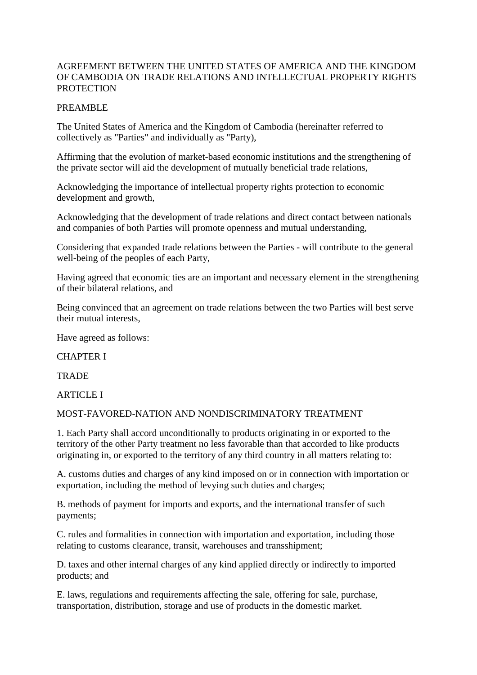#### AGREEMENT BETWEEN THE UNITED STATES OF AMERICA AND THE KINGDOM OF CAMBODIA ON TRADE RELATIONS AND INTELLECTUAL PROPERTY RIGHTS **PROTECTION**

#### PREAMBLE

The United States of America and the Kingdom of Cambodia (hereinafter referred to collectively as "Parties" and individually as "Party),

Affirming that the evolution of market-based economic institutions and the strengthening of the private sector will aid the development of mutually beneficial trade relations,

Acknowledging the importance of intellectual property rights protection to economic development and growth,

Acknowledging that the development of trade relations and direct contact between nationals and companies of both Parties will promote openness and mutual understanding,

Considering that expanded trade relations between the Parties - will contribute to the general well-being of the peoples of each Party,

Having agreed that economic ties are an important and necessary element in the strengthening of their bilateral relations, and

Being convinced that an agreement on trade relations between the two Parties will best serve their mutual interests,

Have agreed as follows:

CHAPTER I

TRADE

**ARTICLE I** 

MOST-FAVORED-NATION AND NONDISCRIMINATORY TREATMENT

1. Each Party shall accord unconditionally to products originating in or exported to the territory of the other Party treatment no less favorable than that accorded to like products originating in, or exported to the territory of any third country in all matters relating to:

A. customs duties and charges of any kind imposed on or in connection with importation or exportation, including the method of levying such duties and charges;

B. methods of payment for imports and exports, and the international transfer of such payments;

C. rules and formalities in connection with importation and exportation, including those relating to customs clearance, transit, warehouses and transshipment;

D. taxes and other internal charges of any kind applied directly or indirectly to imported products; and

E. laws, regulations and requirements affecting the sale, offering for sale, purchase, transportation, distribution, storage and use of products in the domestic market.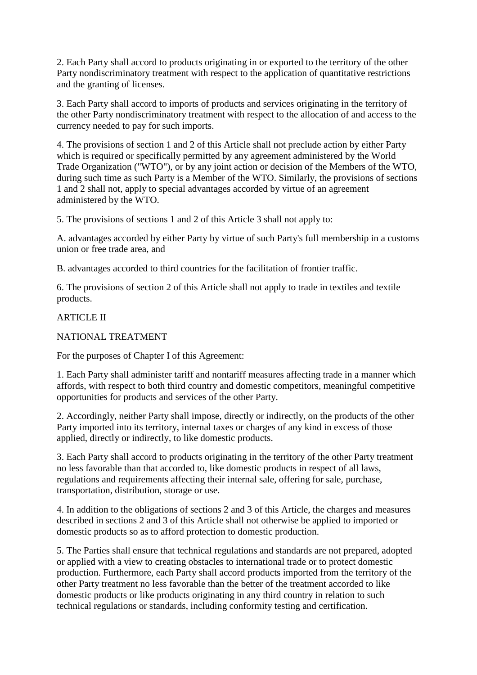2. Each Party shall accord to products originating in or exported to the territory of the other Party nondiscriminatory treatment with respect to the application of quantitative restrictions and the granting of licenses.

3. Each Party shall accord to imports of products and services originating in the territory of the other Party nondiscriminatory treatment with respect to the allocation of and access to the currency needed to pay for such imports.

4. The provisions of section 1 and 2 of this Article shall not preclude action by either Party which is required or specifically permitted by any agreement administered by the World Trade Organization ("WTO"), or by any joint action or decision of the Members of the WTO, during such time as such Party is a Member of the WTO. Similarly, the provisions of sections 1 and 2 shall not, apply to special advantages accorded by virtue of an agreement administered by the WTO.

5. The provisions of sections 1 and 2 of this Article 3 shall not apply to:

A. advantages accorded by either Party by virtue of such Party's full membership in a customs union or free trade area, and

B. advantages accorded to third countries for the facilitation of frontier traffic.

6. The provisions of section 2 of this Article shall not apply to trade in textiles and textile products.

ARTICLE II

NATIONAL TREATMENT

For the purposes of Chapter I of this Agreement:

1. Each Party shall administer tariff and nontariff measures affecting trade in a manner which affords, with respect to both third country and domestic competitors, meaningful competitive opportunities for products and services of the other Party.

2. Accordingly, neither Party shall impose, directly or indirectly, on the products of the other Party imported into its territory, internal taxes or charges of any kind in excess of those applied, directly or indirectly, to like domestic products.

3. Each Party shall accord to products originating in the territory of the other Party treatment no less favorable than that accorded to, like domestic products in respect of all laws, regulations and requirements affecting their internal sale, offering for sale, purchase, transportation, distribution, storage or use.

4. In addition to the obligations of sections 2 and 3 of this Article, the charges and measures described in sections 2 and 3 of this Article shall not otherwise be applied to imported or domestic products so as to afford protection to domestic production.

5. The Parties shall ensure that technical regulations and standards are not prepared, adopted or applied with a view to creating obstacles to international trade or to protect domestic production. Furthermore, each Party shall accord products imported from the territory of the other Party treatment no less favorable than the better of the treatment accorded to like domestic products or like products originating in any third country in relation to such technical regulations or standards, including conformity testing and certification.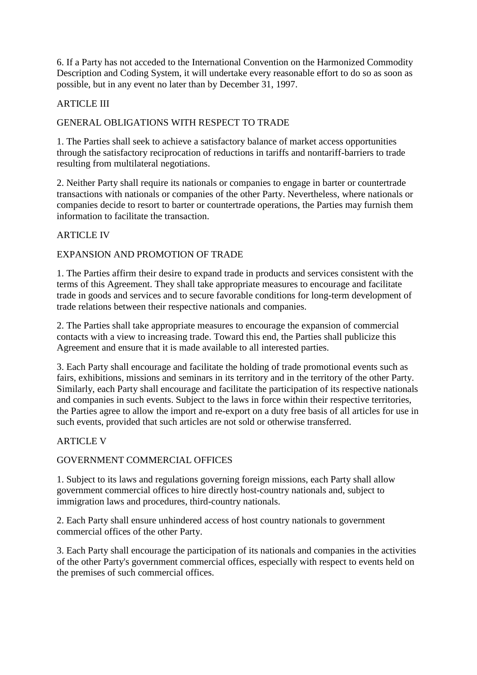6. If a Party has not acceded to the International Convention on the Harmonized Commodity Description and Coding System, it will undertake every reasonable effort to do so as soon as possible, but in any event no later than by December 31, 1997.

### **ARTICLE III**

# GENERAL OBLIGATIONS WITH RESPECT TO TRADE

1. The Parties shall seek to achieve a satisfactory balance of market access opportunities through the satisfactory reciprocation of reductions in tariffs and nontariff-barriers to trade resulting from multilateral negotiations.

2. Neither Party shall require its nationals or companies to engage in barter or countertrade transactions with nationals or companies of the other Party. Nevertheless, where nationals or companies decide to resort to barter or countertrade operations, the Parties may furnish them information to facilitate the transaction.

#### **ARTICLE IV**

#### EXPANSION AND PROMOTION OF TRADE

1. The Parties affirm their desire to expand trade in products and services consistent with the terms of this Agreement. They shall take appropriate measures to encourage and facilitate trade in goods and services and to secure favorable conditions for long-term development of trade relations between their respective nationals and companies.

2. The Parties shall take appropriate measures to encourage the expansion of commercial contacts with a view to increasing trade. Toward this end, the Parties shall publicize this Agreement and ensure that it is made available to all interested parties.

3. Each Party shall encourage and facilitate the holding of trade promotional events such as fairs, exhibitions, missions and seminars in its territory and in the territory of the other Party. Similarly, each Party shall encourage and facilitate the participation of its respective nationals and companies in such events. Subject to the laws in force within their respective territories, the Parties agree to allow the import and re-export on a duty free basis of all articles for use in such events, provided that such articles are not sold or otherwise transferred.

#### ARTICLE V

#### GOVERNMENT COMMERCIAL OFFICES

1. Subject to its laws and regulations governing foreign missions, each Party shall allow government commercial offices to hire directly host-country nationals and, subject to immigration laws and procedures, third-country nationals.

2. Each Party shall ensure unhindered access of host country nationals to government commercial offices of the other Party.

3. Each Party shall encourage the participation of its nationals and companies in the activities of the other Party's government commercial offices, especially with respect to events held on the premises of such commercial offices.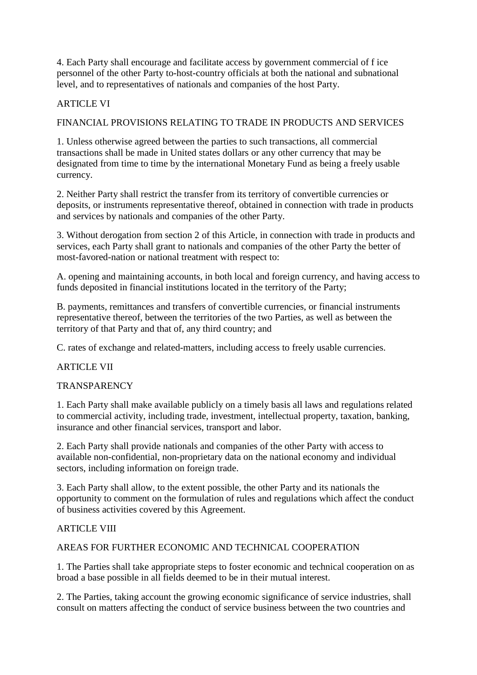4. Each Party shall encourage and facilitate access by government commercial of f ice personnel of the other Party to-host-country officials at both the national and subnational level, and to representatives of nationals and companies of the host Party.

### **ARTICLE VI**

#### FINANCIAL PROVISIONS RELATING TO TRADE IN PRODUCTS AND SERVICES

1. Unless otherwise agreed between the parties to such transactions, all commercial transactions shall be made in United states dollars or any other currency that may be designated from time to time by the international Monetary Fund as being a freely usable currency.

2. Neither Party shall restrict the transfer from its territory of convertible currencies or deposits, or instruments representative thereof, obtained in connection with trade in products and services by nationals and companies of the other Party.

3. Without derogation from section 2 of this Article, in connection with trade in products and services, each Party shall grant to nationals and companies of the other Party the better of most-favored-nation or national treatment with respect to:

A. opening and maintaining accounts, in both local and foreign currency, and having access to funds deposited in financial institutions located in the territory of the Party;

B. payments, remittances and transfers of convertible currencies, or financial instruments representative thereof, between the territories of the two Parties, as well as between the territory of that Party and that of, any third country; and

C. rates of exchange and related-matters, including access to freely usable currencies.

#### ARTICLE VII

#### **TRANSPARENCY**

1. Each Party shall make available publicly on a timely basis all laws and regulations related to commercial activity, including trade, investment, intellectual property, taxation, banking, insurance and other financial services, transport and labor.

2. Each Party shall provide nationals and companies of the other Party with access to available non-confidential, non-proprietary data on the national economy and individual sectors, including information on foreign trade.

3. Each Party shall allow, to the extent possible, the other Party and its nationals the opportunity to comment on the formulation of rules and regulations which affect the conduct of business activities covered by this Agreement.

#### ARTICLE VIII

#### AREAS FOR FURTHER ECONOMIC AND TECHNICAL COOPERATION

1. The Parties shall take appropriate steps to foster economic and technical cooperation on as broad a base possible in all fields deemed to be in their mutual interest.

2. The Parties, taking account the growing economic significance of service industries, shall consult on matters affecting the conduct of service business between the two countries and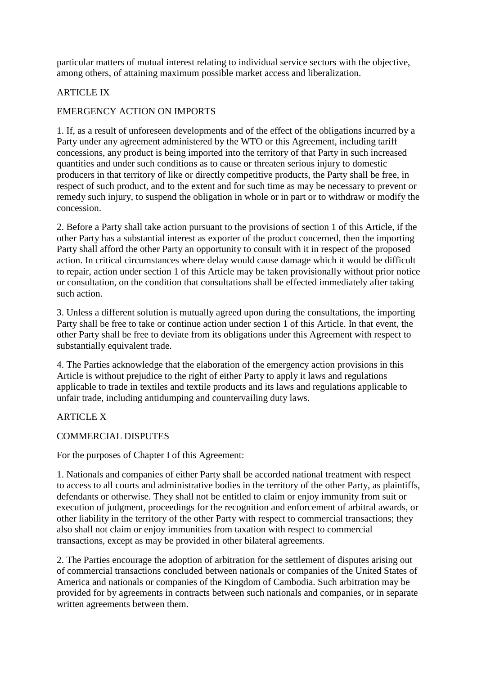particular matters of mutual interest relating to individual service sectors with the objective, among others, of attaining maximum possible market access and liberalization.

# ARTICLE IX

# EMERGENCY ACTION ON IMPORTS

1. If, as a result of unforeseen developments and of the effect of the obligations incurred by a Party under any agreement administered by the WTO or this Agreement, including tariff concessions, any product is being imported into the territory of that Party in such increased quantities and under such conditions as to cause or threaten serious injury to domestic producers in that territory of like or directly competitive products, the Party shall be free, in respect of such product, and to the extent and for such time as may be necessary to prevent or remedy such injury, to suspend the obligation in whole or in part or to withdraw or modify the concession.

2. Before a Party shall take action pursuant to the provisions of section 1 of this Article, if the other Party has a substantial interest as exporter of the product concerned, then the importing Party shall afford the other Party an opportunity to consult with it in respect of the proposed action. In critical circumstances where delay would cause damage which it would be difficult to repair, action under section 1 of this Article may be taken provisionally without prior notice or consultation, on the condition that consultations shall be effected immediately after taking such action.

3. Unless a different solution is mutually agreed upon during the consultations, the importing Party shall be free to take or continue action under section 1 of this Article. In that event, the other Party shall be free to deviate from its obligations under this Agreement with respect to substantially equivalent trade.

4. The Parties acknowledge that the elaboration of the emergency action provisions in this Article is without prejudice to the right of either Party to apply it laws and regulations applicable to trade in textiles and textile products and its laws and regulations applicable to unfair trade, including antidumping and countervailing duty laws.

### ARTICLE X

COMMERCIAL DISPUTES

For the purposes of Chapter I of this Agreement:

1. Nationals and companies of either Party shall be accorded national treatment with respect to access to all courts and administrative bodies in the territory of the other Party, as plaintiffs, defendants or otherwise. They shall not be entitled to claim or enjoy immunity from suit or execution of judgment, proceedings for the recognition and enforcement of arbitral awards, or other liability in the territory of the other Party with respect to commercial transactions; they also shall not claim or enjoy immunities from taxation with respect to commercial transactions, except as may be provided in other bilateral agreements.

2. The Parties encourage the adoption of arbitration for the settlement of disputes arising out of commercial transactions concluded between nationals or companies of the United States of America and nationals or companies of the Kingdom of Cambodia. Such arbitration may be provided for by agreements in contracts between such nationals and companies, or in separate written agreements between them.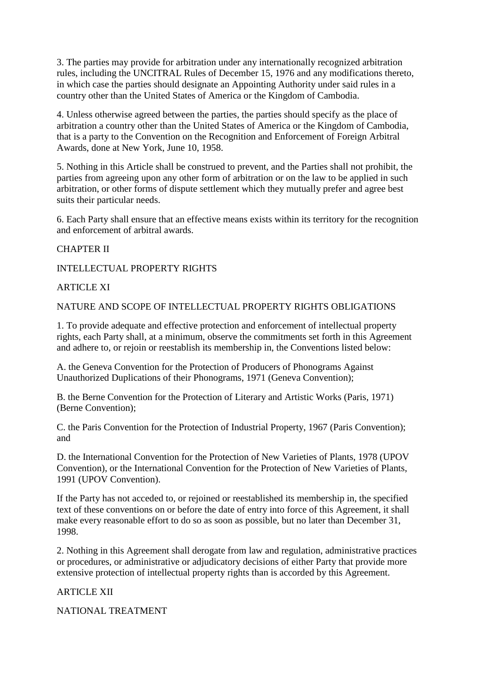3. The parties may provide for arbitration under any internationally recognized arbitration rules, including the UNCITRAL Rules of December 15, 1976 and any modifications thereto, in which case the parties should designate an Appointing Authority under said rules in a country other than the United States of America or the Kingdom of Cambodia.

4. Unless otherwise agreed between the parties, the parties should specify as the place of arbitration a country other than the United States of America or the Kingdom of Cambodia, that is a party to the Convention on the Recognition and Enforcement of Foreign Arbitral Awards, done at New York, June 10, 1958.

5. Nothing in this Article shall be construed to prevent, and the Parties shall not prohibit, the parties from agreeing upon any other form of arbitration or on the law to be applied in such arbitration, or other forms of dispute settlement which they mutually prefer and agree best suits their particular needs.

6. Each Party shall ensure that an effective means exists within its territory for the recognition and enforcement of arbitral awards.

#### CHAPTER II

INTELLECTUAL PROPERTY RIGHTS

#### ARTICLE XI

NATURE AND SCOPE OF INTELLECTUAL PROPERTY RIGHTS OBLIGATIONS

1. To provide adequate and effective protection and enforcement of intellectual property rights, each Party shall, at a minimum, observe the commitments set forth in this Agreement and adhere to, or rejoin or reestablish its membership in, the Conventions listed below:

A. the Geneva Convention for the Protection of Producers of Phonograms Against Unauthorized Duplications of their Phonograms, 1971 (Geneva Convention);

B. the Berne Convention for the Protection of Literary and Artistic Works (Paris, 1971) (Berne Convention);

C. the Paris Convention for the Protection of Industrial Property, 1967 (Paris Convention); and

D. the International Convention for the Protection of New Varieties of Plants, 1978 (UPOV Convention), or the International Convention for the Protection of New Varieties of Plants, 1991 (UPOV Convention).

If the Party has not acceded to, or rejoined or reestablished its membership in, the specified text of these conventions on or before the date of entry into force of this Agreement, it shall make every reasonable effort to do so as soon as possible, but no later than December 31, 1998.

2. Nothing in this Agreement shall derogate from law and regulation, administrative practices or procedures, or administrative or adjudicatory decisions of either Party that provide more extensive protection of intellectual property rights than is accorded by this Agreement.

ARTICLE XII

NATIONAL TREATMENT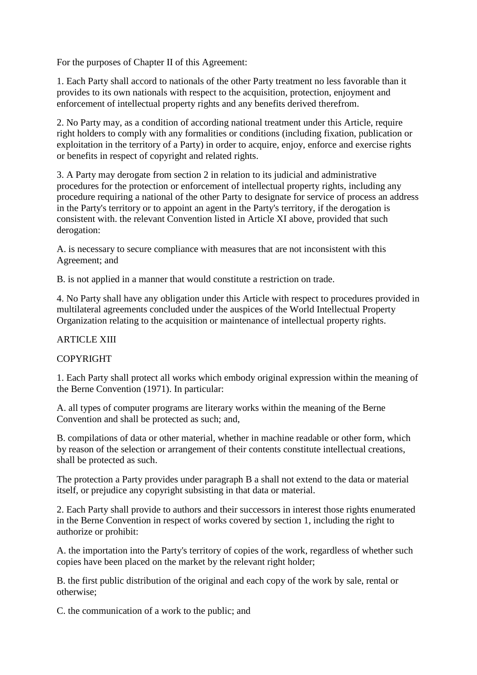For the purposes of Chapter II of this Agreement:

1. Each Party shall accord to nationals of the other Party treatment no less favorable than it provides to its own nationals with respect to the acquisition, protection, enjoyment and enforcement of intellectual property rights and any benefits derived therefrom.

2. No Party may, as a condition of according national treatment under this Article, require right holders to comply with any formalities or conditions (including fixation, publication or exploitation in the territory of a Party) in order to acquire, enjoy, enforce and exercise rights or benefits in respect of copyright and related rights.

3. A Party may derogate from section 2 in relation to its judicial and administrative procedures for the protection or enforcement of intellectual property rights, including any procedure requiring a national of the other Party to designate for service of process an address in the Party's territory or to appoint an agent in the Party's territory, if the derogation is consistent with. the relevant Convention listed in Article XI above, provided that such derogation:

A. is necessary to secure compliance with measures that are not inconsistent with this Agreement; and

B. is not applied in a manner that would constitute a restriction on trade.

4. No Party shall have any obligation under this Article with respect to procedures provided in multilateral agreements concluded under the auspices of the World Intellectual Property Organization relating to the acquisition or maintenance of intellectual property rights.

### **ARTICLE XIII**

### **COPYRIGHT**

1. Each Party shall protect all works which embody original expression within the meaning of the Berne Convention (1971). In particular:

A. all types of computer programs are literary works within the meaning of the Berne Convention and shall be protected as such; and,

B. compilations of data or other material, whether in machine readable or other form, which by reason of the selection or arrangement of their contents constitute intellectual creations, shall be protected as such.

The protection a Party provides under paragraph B a shall not extend to the data or material itself, or prejudice any copyright subsisting in that data or material.

2. Each Party shall provide to authors and their successors in interest those rights enumerated in the Berne Convention in respect of works covered by section 1, including the right to authorize or prohibit:

A. the importation into the Party's territory of copies of the work, regardless of whether such copies have been placed on the market by the relevant right holder;

B. the first public distribution of the original and each copy of the work by sale, rental or otherwise;

C. the communication of a work to the public; and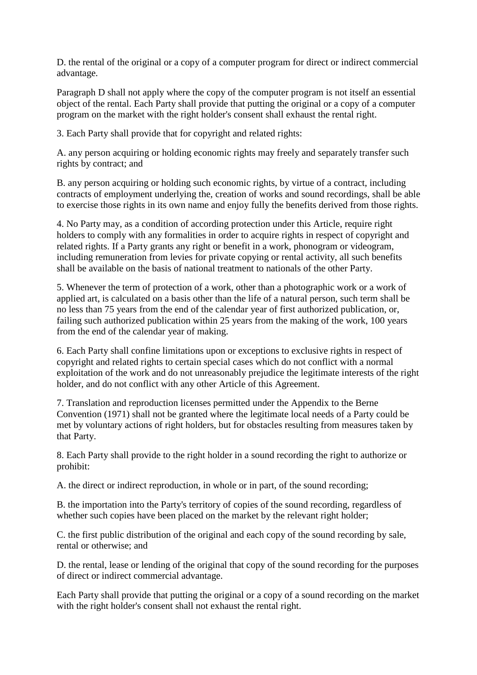D. the rental of the original or a copy of a computer program for direct or indirect commercial advantage.

Paragraph D shall not apply where the copy of the computer program is not itself an essential object of the rental. Each Party shall provide that putting the original or a copy of a computer program on the market with the right holder's consent shall exhaust the rental right.

3. Each Party shall provide that for copyright and related rights:

A. any person acquiring or holding economic rights may freely and separately transfer such rights by contract; and

B. any person acquiring or holding such economic rights, by virtue of a contract, including contracts of employment underlying the, creation of works and sound recordings, shall be able to exercise those rights in its own name and enjoy fully the benefits derived from those rights.

4. No Party may, as a condition of according protection under this Article, require right holders to comply with any formalities in order to acquire rights in respect of copyright and related rights. If a Party grants any right or benefit in a work, phonogram or videogram, including remuneration from levies for private copying or rental activity, all such benefits shall be available on the basis of national treatment to nationals of the other Party.

5. Whenever the term of protection of a work, other than a photographic work or a work of applied art, is calculated on a basis other than the life of a natural person, such term shall be no less than 75 years from the end of the calendar year of first authorized publication, or, failing such authorized publication within 25 years from the making of the work, 100 years from the end of the calendar year of making.

6. Each Party shall confine limitations upon or exceptions to exclusive rights in respect of copyright and related rights to certain special cases which do not conflict with a normal exploitation of the work and do not unreasonably prejudice the legitimate interests of the right holder, and do not conflict with any other Article of this Agreement.

7. Translation and reproduction licenses permitted under the Appendix to the Berne Convention (1971) shall not be granted where the legitimate local needs of a Party could be met by voluntary actions of right holders, but for obstacles resulting from measures taken by that Party.

8. Each Party shall provide to the right holder in a sound recording the right to authorize or prohibit:

A. the direct or indirect reproduction, in whole or in part, of the sound recording;

B. the importation into the Party's territory of copies of the sound recording, regardless of whether such copies have been placed on the market by the relevant right holder;

C. the first public distribution of the original and each copy of the sound recording by sale, rental or otherwise; and

D. the rental, lease or lending of the original that copy of the sound recording for the purposes of direct or indirect commercial advantage.

Each Party shall provide that putting the original or a copy of a sound recording on the market with the right holder's consent shall not exhaust the rental right.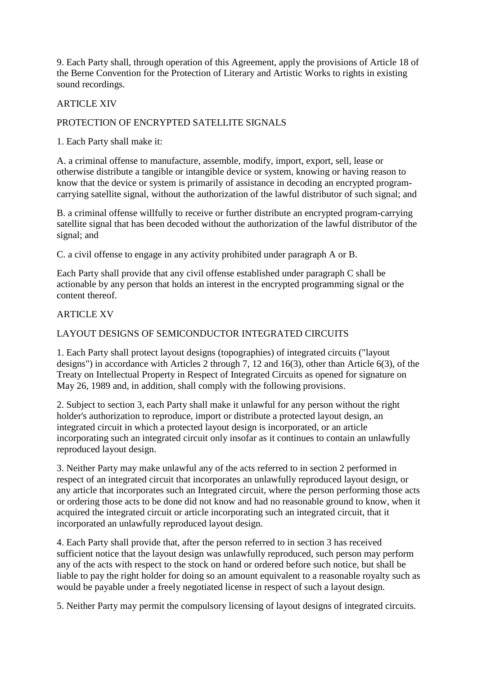9. Each Party shall, through operation of this Agreement, apply the provisions of Article 18 of the Berne Convention for the Protection of Literary and Artistic Works to rights in existing sound recordings.

#### ARTICLE XIV

# PROTECTION OF ENCRYPTED SATELLITE SIGNALS

1. Each Party shall make it:

A. a criminal offense to manufacture, assemble, modify, import, export, sell, lease or otherwise distribute a tangible or intangible device or system, knowing or having reason to know that the device or system is primarily of assistance in decoding an encrypted programcarrying satellite signal, without the authorization of the lawful distributor of such signal; and

B. a criminal offense willfully to receive or further distribute an encrypted program-carrying satellite signal that has been decoded without the authorization of the lawful distributor of the signal; and

C. a civil offense to engage in any activity prohibited under paragraph A or B.

Each Party shall provide that any civil offense established under paragraph C shall be actionable by any person that holds an interest in the encrypted programming signal or the content thereof.

#### **ARTICLE XV**

### LAYOUT DESIGNS OF SEMICONDUCTOR INTEGRATED CIRCUITS

1. Each Party shall protect layout designs (topographies) of integrated circuits ("layout designs") in accordance with Articles 2 through 7, 12 and 16(3), other than Article 6(3), of the Treaty on Intellectual Property in Respect of Integrated Circuits as opened for signature on May 26, 1989 and, in addition, shall comply with the following provisions.

2. Subject to section 3, each Party shall make it unlawful for any person without the right holder's authorization to reproduce, import or distribute a protected layout design, an integrated circuit in which a protected layout design is incorporated, or an article incorporating such an integrated circuit only insofar as it continues to contain an unlawfully reproduced layout design.

3. Neither Party may make unlawful any of the acts referred to in section 2 performed in respect of an integrated circuit that incorporates an unlawfully reproduced layout design, or any article that incorporates such an Integrated circuit, where the person performing those acts or ordering those acts to be done did not know and had no reasonable ground to know, when it acquired the integrated circuit or article incorporating such an integrated circuit, that it incorporated an unlawfully reproduced layout design.

4. Each Party shall provide that, after the person referred to in section 3 has received sufficient notice that the layout design was unlawfully reproduced, such person may perform any of the acts with respect to the stock on hand or ordered before such notice, but shall be liable to pay the right holder for doing so an amount equivalent to a reasonable royalty such as would be payable under a freely negotiated license in respect of such a layout design.

5. Neither Party may permit the compulsory licensing of layout designs of integrated circuits.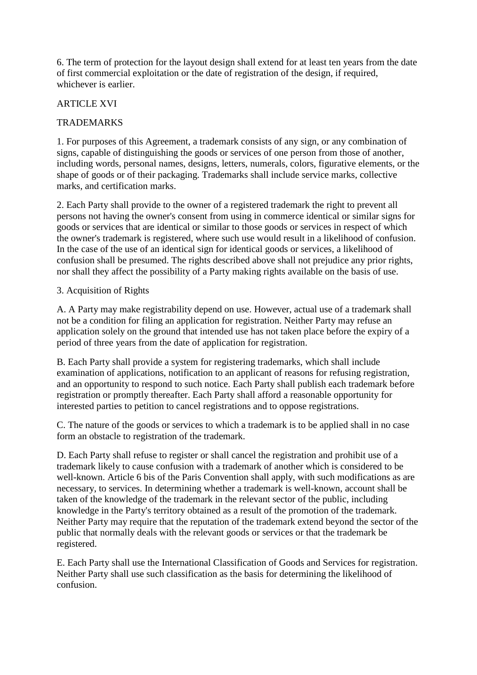6. The term of protection for the layout design shall extend for at least ten years from the date of first commercial exploitation or the date of registration of the design, if required, whichever is earlier.

#### ARTICLE XVI

#### TRADEMARKS

1. For purposes of this Agreement, a trademark consists of any sign, or any combination of signs, capable of distinguishing the goods or services of one person from those of another, including words, personal names, designs, letters, numerals, colors, figurative elements, or the shape of goods or of their packaging. Trademarks shall include service marks, collective marks, and certification marks.

2. Each Party shall provide to the owner of a registered trademark the right to prevent all persons not having the owner's consent from using in commerce identical or similar signs for goods or services that are identical or similar to those goods or services in respect of which the owner's trademark is registered, where such use would result in a likelihood of confusion. In the case of the use of an identical sign for identical goods or services, a likelihood of confusion shall be presumed. The rights described above shall not prejudice any prior rights, nor shall they affect the possibility of a Party making rights available on the basis of use.

#### 3. Acquisition of Rights

A. A Party may make registrability depend on use. However, actual use of a trademark shall not be a condition for filing an application for registration. Neither Party may refuse an application solely on the ground that intended use has not taken place before the expiry of a period of three years from the date of application for registration.

B. Each Party shall provide a system for registering trademarks, which shall include examination of applications, notification to an applicant of reasons for refusing registration, and an opportunity to respond to such notice. Each Party shall publish each trademark before registration or promptly thereafter. Each Party shall afford a reasonable opportunity for interested parties to petition to cancel registrations and to oppose registrations.

C. The nature of the goods or services to which a trademark is to be applied shall in no case form an obstacle to registration of the trademark.

D. Each Party shall refuse to register or shall cancel the registration and prohibit use of a trademark likely to cause confusion with a trademark of another which is considered to be well-known. Article 6 bis of the Paris Convention shall apply, with such modifications as are necessary, to services. In determining whether a trademark is well-known, account shall be taken of the knowledge of the trademark in the relevant sector of the public, including knowledge in the Party's territory obtained as a result of the promotion of the trademark. Neither Party may require that the reputation of the trademark extend beyond the sector of the public that normally deals with the relevant goods or services or that the trademark be registered.

E. Each Party shall use the International Classification of Goods and Services for registration. Neither Party shall use such classification as the basis for determining the likelihood of confusion.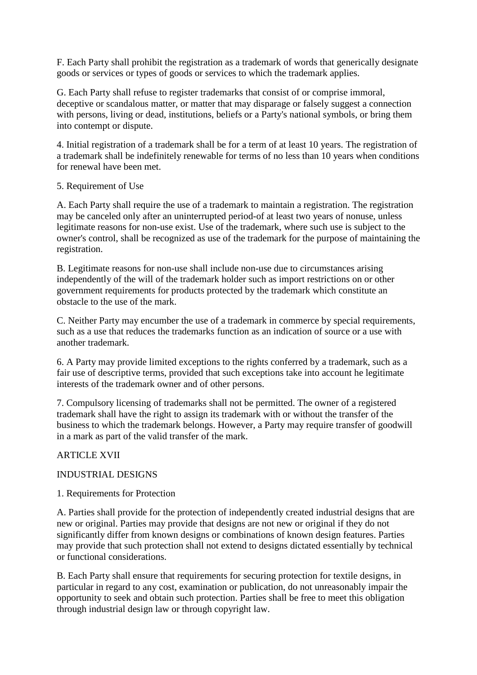F. Each Party shall prohibit the registration as a trademark of words that generically designate goods or services or types of goods or services to which the trademark applies.

G. Each Party shall refuse to register trademarks that consist of or comprise immoral, deceptive or scandalous matter, or matter that may disparage or falsely suggest a connection with persons, living or dead, institutions, beliefs or a Party's national symbols, or bring them into contempt or dispute.

4. Initial registration of a trademark shall be for a term of at least 10 years. The registration of a trademark shall be indefinitely renewable for terms of no less than 10 years when conditions for renewal have been met.

#### 5. Requirement of Use

A. Each Party shall require the use of a trademark to maintain a registration. The registration may be canceled only after an uninterrupted period-of at least two years of nonuse, unless legitimate reasons for non-use exist. Use of the trademark, where such use is subject to the owner's control, shall be recognized as use of the trademark for the purpose of maintaining the registration.

B. Legitimate reasons for non-use shall include non-use due to circumstances arising independently of the will of the trademark holder such as import restrictions on or other government requirements for products protected by the trademark which constitute an obstacle to the use of the mark.

C. Neither Party may encumber the use of a trademark in commerce by special requirements, such as a use that reduces the trademarks function as an indication of source or a use with another trademark.

6. A Party may provide limited exceptions to the rights conferred by a trademark, such as a fair use of descriptive terms, provided that such exceptions take into account he legitimate interests of the trademark owner and of other persons.

7. Compulsory licensing of trademarks shall not be permitted. The owner of a registered trademark shall have the right to assign its trademark with or without the transfer of the business to which the trademark belongs. However, a Party may require transfer of goodwill in a mark as part of the valid transfer of the mark.

### ARTICLE XVII

### INDUSTRIAL DESIGNS

### 1. Requirements for Protection

A. Parties shall provide for the protection of independently created industrial designs that are new or original. Parties may provide that designs are not new or original if they do not significantly differ from known designs or combinations of known design features. Parties may provide that such protection shall not extend to designs dictated essentially by technical or functional considerations.

B. Each Party shall ensure that requirements for securing protection for textile designs, in particular in regard to any cost, examination or publication, do not unreasonably impair the opportunity to seek and obtain such protection. Parties shall be free to meet this obligation through industrial design law or through copyright law.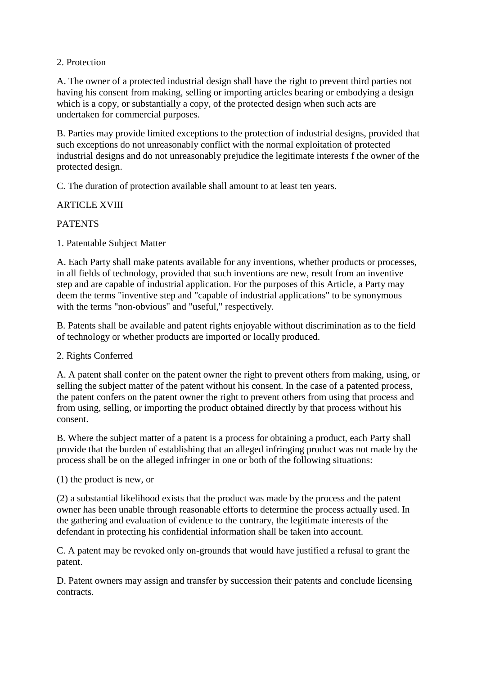#### 2. Protection

A. The owner of a protected industrial design shall have the right to prevent third parties not having his consent from making, selling or importing articles bearing or embodying a design which is a copy, or substantially a copy, of the protected design when such acts are undertaken for commercial purposes.

B. Parties may provide limited exceptions to the protection of industrial designs, provided that such exceptions do not unreasonably conflict with the normal exploitation of protected industrial designs and do not unreasonably prejudice the legitimate interests f the owner of the protected design.

C. The duration of protection available shall amount to at least ten years.

### ARTICLE XVIII

#### **PATENTS**

1. Patentable Subject Matter

A. Each Party shall make patents available for any inventions, whether products or processes, in all fields of technology, provided that such inventions are new, result from an inventive step and are capable of industrial application. For the purposes of this Article, a Party may deem the terms "inventive step and "capable of industrial applications" to be synonymous with the terms "non-obvious" and "useful," respectively.

B. Patents shall be available and patent rights enjoyable without discrimination as to the field of technology or whether products are imported or locally produced.

2. Rights Conferred

A. A patent shall confer on the patent owner the right to prevent others from making, using, or selling the subject matter of the patent without his consent. In the case of a patented process, the patent confers on the patent owner the right to prevent others from using that process and from using, selling, or importing the product obtained directly by that process without his consent.

B. Where the subject matter of a patent is a process for obtaining a product, each Party shall provide that the burden of establishing that an alleged infringing product was not made by the process shall be on the alleged infringer in one or both of the following situations:

(1) the product is new, or

(2) a substantial likelihood exists that the product was made by the process and the patent owner has been unable through reasonable efforts to determine the process actually used. In the gathering and evaluation of evidence to the contrary, the legitimate interests of the defendant in protecting his confidential information shall be taken into account.

C. A patent may be revoked only on-grounds that would have justified a refusal to grant the patent.

D. Patent owners may assign and transfer by succession their patents and conclude licensing contracts.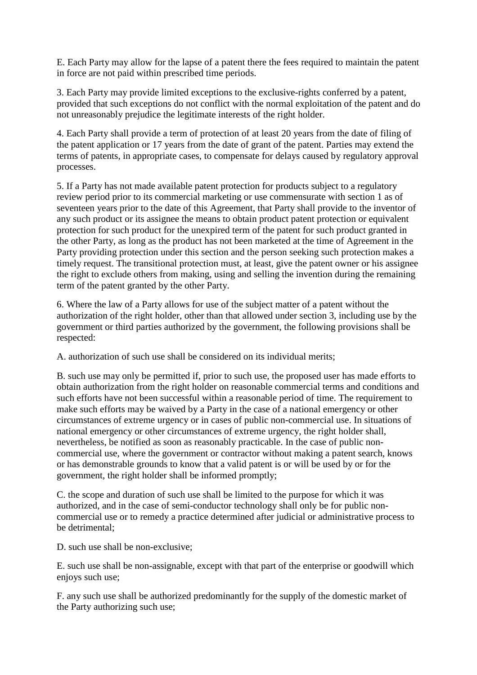E. Each Party may allow for the lapse of a patent there the fees required to maintain the patent in force are not paid within prescribed time periods.

3. Each Party may provide limited exceptions to the exclusive-rights conferred by a patent, provided that such exceptions do not conflict with the normal exploitation of the patent and do not unreasonably prejudice the legitimate interests of the right holder.

4. Each Party shall provide a term of protection of at least 20 years from the date of filing of the patent application or 17 years from the date of grant of the patent. Parties may extend the terms of patents, in appropriate cases, to compensate for delays caused by regulatory approval processes.

5. If a Party has not made available patent protection for products subject to a regulatory review period prior to its commercial marketing or use commensurate with section 1 as of seventeen years prior to the date of this Agreement, that Party shall provide to the inventor of any such product or its assignee the means to obtain product patent protection or equivalent protection for such product for the unexpired term of the patent for such product granted in the other Party, as long as the product has not been marketed at the time of Agreement in the Party providing protection under this section and the person seeking such protection makes a timely request. The transitional protection must, at least, give the patent owner or his assignee the right to exclude others from making, using and selling the invention during the remaining term of the patent granted by the other Party.

6. Where the law of a Party allows for use of the subject matter of a patent without the authorization of the right holder, other than that allowed under section 3, including use by the government or third parties authorized by the government, the following provisions shall be respected:

A. authorization of such use shall be considered on its individual merits;

B. such use may only be permitted if, prior to such use, the proposed user has made efforts to obtain authorization from the right holder on reasonable commercial terms and conditions and such efforts have not been successful within a reasonable period of time. The requirement to make such efforts may be waived by a Party in the case of a national emergency or other circumstances of extreme urgency or in cases of public non-commercial use. In situations of national emergency or other circumstances of extreme urgency, the right holder shall, nevertheless, be notified as soon as reasonably practicable. In the case of public noncommercial use, where the government or contractor without making a patent search, knows or has demonstrable grounds to know that a valid patent is or will be used by or for the government, the right holder shall be informed promptly;

C. the scope and duration of such use shall be limited to the purpose for which it was authorized, and in the case of semi-conductor technology shall only be for public noncommercial use or to remedy a practice determined after judicial or administrative process to be detrimental;

D. such use shall be non-exclusive;

E. such use shall be non-assignable, except with that part of the enterprise or goodwill which enjoys such use;

F. any such use shall be authorized predominantly for the supply of the domestic market of the Party authorizing such use;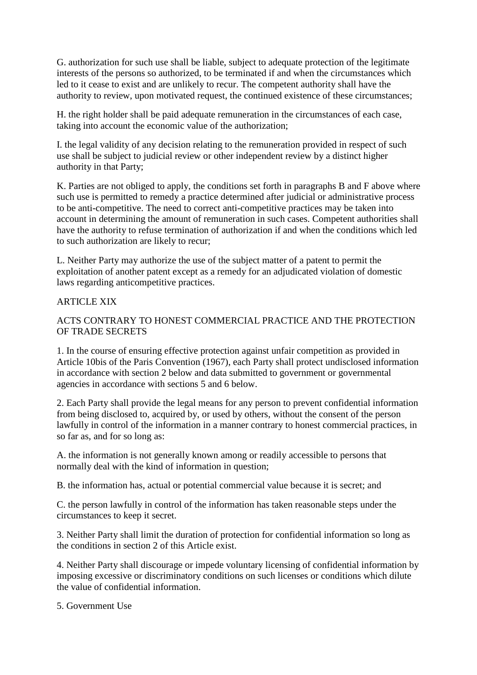G. authorization for such use shall be liable, subject to adequate protection of the legitimate interests of the persons so authorized, to be terminated if and when the circumstances which led to it cease to exist and are unlikely to recur. The competent authority shall have the authority to review, upon motivated request, the continued existence of these circumstances;

H. the right holder shall be paid adequate remuneration in the circumstances of each case, taking into account the economic value of the authorization;

I. the legal validity of any decision relating to the remuneration provided in respect of such use shall be subject to judicial review or other independent review by a distinct higher authority in that Party;

K. Parties are not obliged to apply, the conditions set forth in paragraphs B and F above where such use is permitted to remedy a practice determined after judicial or administrative process to be anti-competitive. The need to correct anti-competitive practices may be taken into account in determining the amount of remuneration in such cases. Competent authorities shall have the authority to refuse termination of authorization if and when the conditions which led to such authorization are likely to recur;

L. Neither Party may authorize the use of the subject matter of a patent to permit the exploitation of another patent except as a remedy for an adjudicated violation of domestic laws regarding anticompetitive practices.

# ARTICLE XIX

# ACTS CONTRARY TO HONEST COMMERCIAL PRACTICE AND THE PROTECTION OF TRADE SECRETS

1. In the course of ensuring effective protection against unfair competition as provided in Article 10bis of the Paris Convention (1967), each Party shall protect undisclosed information in accordance with section 2 below and data submitted to government or governmental agencies in accordance with sections 5 and 6 below.

2. Each Party shall provide the legal means for any person to prevent confidential information from being disclosed to, acquired by, or used by others, without the consent of the person lawfully in control of the information in a manner contrary to honest commercial practices, in so far as, and for so long as:

A. the information is not generally known among or readily accessible to persons that normally deal with the kind of information in question;

B. the information has, actual or potential commercial value because it is secret; and

C. the person lawfully in control of the information has taken reasonable steps under the circumstances to keep it secret.

3. Neither Party shall limit the duration of protection for confidential information so long as the conditions in section 2 of this Article exist.

4. Neither Party shall discourage or impede voluntary licensing of confidential information by imposing excessive or discriminatory conditions on such licenses or conditions which dilute the value of confidential information.

5. Government Use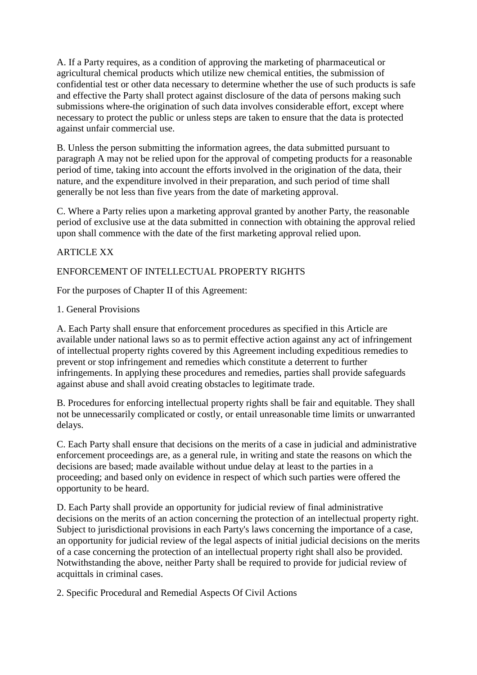A. If a Party requires, as a condition of approving the marketing of pharmaceutical or agricultural chemical products which utilize new chemical entities, the submission of confidential test or other data necessary to determine whether the use of such products is safe and effective the Party shall protect against disclosure of the data of persons making such submissions where-the origination of such data involves considerable effort, except where necessary to protect the public or unless steps are taken to ensure that the data is protected against unfair commercial use.

B. Unless the person submitting the information agrees, the data submitted pursuant to paragraph A may not be relied upon for the approval of competing products for a reasonable period of time, taking into account the efforts involved in the origination of the data, their nature, and the expenditure involved in their preparation, and such period of time shall generally be not less than five years from the date of marketing approval.

C. Where a Party relies upon a marketing approval granted by another Party, the reasonable period of exclusive use at the data submitted in connection with obtaining the approval relied upon shall commence with the date of the first marketing approval relied upon.

### **ARTICLE XX**

# ENFORCEMENT OF INTELLECTUAL PROPERTY RIGHTS

For the purposes of Chapter II of this Agreement:

#### 1. General Provisions

A. Each Party shall ensure that enforcement procedures as specified in this Article are available under national laws so as to permit effective action against any act of infringement of intellectual property rights covered by this Agreement including expeditious remedies to prevent or stop infringement and remedies which constitute a deterrent to further infringements. In applying these procedures and remedies, parties shall provide safeguards against abuse and shall avoid creating obstacles to legitimate trade.

B. Procedures for enforcing intellectual property rights shall be fair and equitable. They shall not be unnecessarily complicated or costly, or entail unreasonable time limits or unwarranted delays.

C. Each Party shall ensure that decisions on the merits of a case in judicial and administrative enforcement proceedings are, as a general rule, in writing and state the reasons on which the decisions are based; made available without undue delay at least to the parties in a proceeding; and based only on evidence in respect of which such parties were offered the opportunity to be heard.

D. Each Party shall provide an opportunity for judicial review of final administrative decisions on the merits of an action concerning the protection of an intellectual property right. Subject to jurisdictional provisions in each Party's laws concerning the importance of a case, an opportunity for judicial review of the legal aspects of initial judicial decisions on the merits of a case concerning the protection of an intellectual property right shall also be provided. Notwithstanding the above, neither Party shall be required to provide for judicial review of acquittals in criminal cases.

2. Specific Procedural and Remedial Aspects Of Civil Actions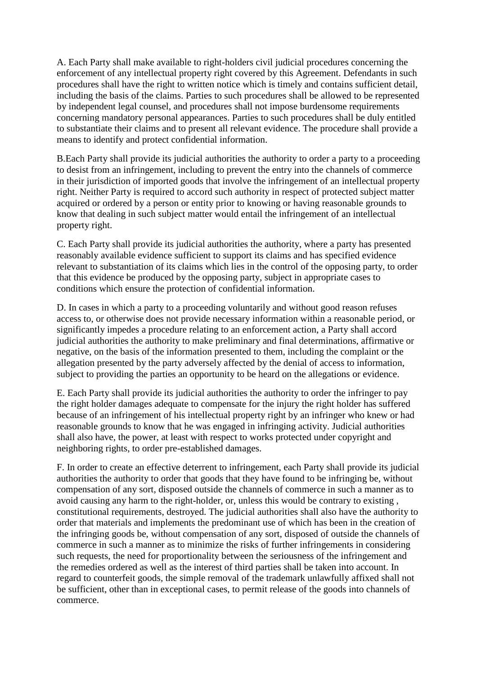A. Each Party shall make available to right-holders civil judicial procedures concerning the enforcement of any intellectual property right covered by this Agreement. Defendants in such procedures shall have the right to written notice which is timely and contains sufficient detail, including the basis of the claims. Parties to such procedures shall be allowed to be represented by independent legal counsel, and procedures shall not impose burdensome requirements concerning mandatory personal appearances. Parties to such procedures shall be duly entitled to substantiate their claims and to present all relevant evidence. The procedure shall provide a means to identify and protect confidential information.

B.Each Party shall provide its judicial authorities the authority to order a party to a proceeding to desist from an infringement, including to prevent the entry into the channels of commerce in their jurisdiction of imported goods that involve the infringement of an intellectual property right. Neither Party is required to accord such authority in respect of protected subject matter acquired or ordered by a person or entity prior to knowing or having reasonable grounds to know that dealing in such subject matter would entail the infringement of an intellectual property right.

C. Each Party shall provide its judicial authorities the authority, where a party has presented reasonably available evidence sufficient to support its claims and has specified evidence relevant to substantiation of its claims which lies in the control of the opposing party, to order that this evidence be produced by the opposing party, subject in appropriate cases to conditions which ensure the protection of confidential information.

D. In cases in which a party to a proceeding voluntarily and without good reason refuses access to, or otherwise does not provide necessary information within a reasonable period, or significantly impedes a procedure relating to an enforcement action, a Party shall accord judicial authorities the authority to make preliminary and final determinations, affirmative or negative, on the basis of the information presented to them, including the complaint or the allegation presented by the party adversely affected by the denial of access to information, subject to providing the parties an opportunity to be heard on the allegations or evidence.

E. Each Party shall provide its judicial authorities the authority to order the infringer to pay the right holder damages adequate to compensate for the injury the right holder has suffered because of an infringement of his intellectual property right by an infringer who knew or had reasonable grounds to know that he was engaged in infringing activity. Judicial authorities shall also have, the power, at least with respect to works protected under copyright and neighboring rights, to order pre-established damages.

F. In order to create an effective deterrent to infringement, each Party shall provide its judicial authorities the authority to order that goods that they have found to be infringing be, without compensation of any sort, disposed outside the channels of commerce in such a manner as to avoid causing any harm to the right-holder, or, unless this would be contrary to existing , constitutional requirements, destroyed. The judicial authorities shall also have the authority to order that materials and implements the predominant use of which has been in the creation of the infringing goods be, without compensation of any sort, disposed of outside the channels of commerce in such a manner as to minimize the risks of further infringements in considering such requests, the need for proportionality between the seriousness of the infringement and the remedies ordered as well as the interest of third parties shall be taken into account. In regard to counterfeit goods, the simple removal of the trademark unlawfully affixed shall not be sufficient, other than in exceptional cases, to permit release of the goods into channels of commerce.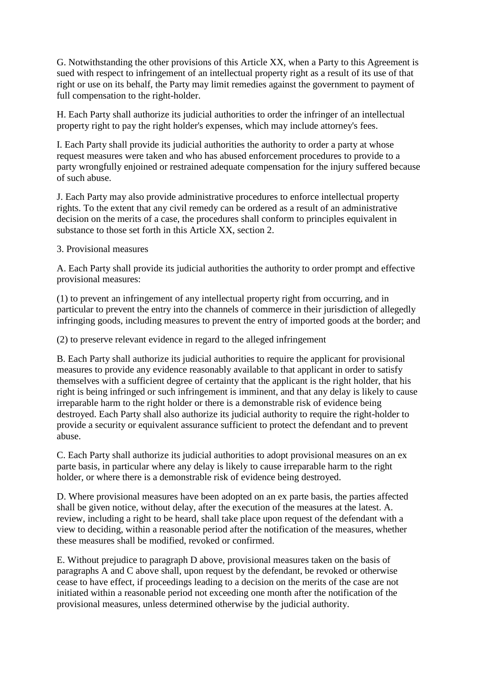G. Notwithstanding the other provisions of this Article XX, when a Party to this Agreement is sued with respect to infringement of an intellectual property right as a result of its use of that right or use on its behalf, the Party may limit remedies against the government to payment of full compensation to the right-holder.

H. Each Party shall authorize its judicial authorities to order the infringer of an intellectual property right to pay the right holder's expenses, which may include attorney's fees.

I. Each Party shall provide its judicial authorities the authority to order a party at whose request measures were taken and who has abused enforcement procedures to provide to a party wrongfully enjoined or restrained adequate compensation for the injury suffered because of such abuse.

J. Each Party may also provide administrative procedures to enforce intellectual property rights. To the extent that any civil remedy can be ordered as a result of an administrative decision on the merits of a case, the procedures shall conform to principles equivalent in substance to those set forth in this Article XX, section 2.

3. Provisional measures

A. Each Party shall provide its judicial authorities the authority to order prompt and effective provisional measures:

(1) to prevent an infringement of any intellectual property right from occurring, and in particular to prevent the entry into the channels of commerce in their jurisdiction of allegedly infringing goods, including measures to prevent the entry of imported goods at the border; and

(2) to preserve relevant evidence in regard to the alleged infringement

B. Each Party shall authorize its judicial authorities to require the applicant for provisional measures to provide any evidence reasonably available to that applicant in order to satisfy themselves with a sufficient degree of certainty that the applicant is the right holder, that his right is being infringed or such infringement is imminent, and that any delay is likely to cause irreparable harm to the right holder or there is a demonstrable risk of evidence being destroyed. Each Party shall also authorize its judicial authority to require the right-holder to provide a security or equivalent assurance sufficient to protect the defendant and to prevent abuse.

C. Each Party shall authorize its judicial authorities to adopt provisional measures on an ex parte basis, in particular where any delay is likely to cause irreparable harm to the right holder, or where there is a demonstrable risk of evidence being destroyed.

D. Where provisional measures have been adopted on an ex parte basis, the parties affected shall be given notice, without delay, after the execution of the measures at the latest. A. review, including a right to be heard, shall take place upon request of the defendant with a view to deciding, within a reasonable period after the notification of the measures, whether these measures shall be modified, revoked or confirmed.

E. Without prejudice to paragraph D above, provisional measures taken on the basis of paragraphs A and C above shall, upon request by the defendant, be revoked or otherwise cease to have effect, if proceedings leading to a decision on the merits of the case are not initiated within a reasonable period not exceeding one month after the notification of the provisional measures, unless determined otherwise by the judicial authority.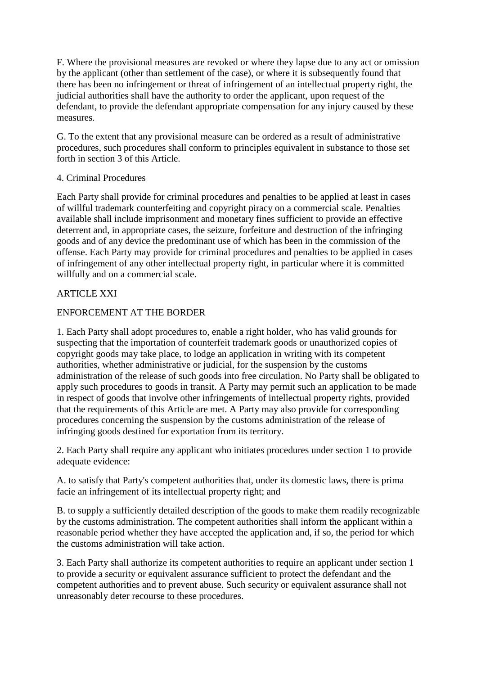F. Where the provisional measures are revoked or where they lapse due to any act or omission by the applicant (other than settlement of the case), or where it is subsequently found that there has been no infringement or threat of infringement of an intellectual property right, the judicial authorities shall have the authority to order the applicant, upon request of the defendant, to provide the defendant appropriate compensation for any injury caused by these measures.

G. To the extent that any provisional measure can be ordered as a result of administrative procedures, such procedures shall conform to principles equivalent in substance to those set forth in section 3 of this Article.

### 4. Criminal Procedures

Each Party shall provide for criminal procedures and penalties to be applied at least in cases of willful trademark counterfeiting and copyright piracy on a commercial scale. Penalties available shall include imprisonment and monetary fines sufficient to provide an effective deterrent and, in appropriate cases, the seizure, forfeiture and destruction of the infringing goods and of any device the predominant use of which has been in the commission of the offense. Each Party may provide for criminal procedures and penalties to be applied in cases of infringement of any other intellectual property right, in particular where it is committed willfully and on a commercial scale.

# ARTICLE XXI

# ENFORCEMENT AT THE BORDER

1. Each Party shall adopt procedures to, enable a right holder, who has valid grounds for suspecting that the importation of counterfeit trademark goods or unauthorized copies of copyright goods may take place, to lodge an application in writing with its competent authorities, whether administrative or judicial, for the suspension by the customs administration of the release of such goods into free circulation. No Party shall be obligated to apply such procedures to goods in transit. A Party may permit such an application to be made in respect of goods that involve other infringements of intellectual property rights, provided that the requirements of this Article are met. A Party may also provide for corresponding procedures concerning the suspension by the customs administration of the release of infringing goods destined for exportation from its territory.

2. Each Party shall require any applicant who initiates procedures under section 1 to provide adequate evidence:

A. to satisfy that Party's competent authorities that, under its domestic laws, there is prima facie an infringement of its intellectual property right; and

B. to supply a sufficiently detailed description of the goods to make them readily recognizable by the customs administration. The competent authorities shall inform the applicant within a reasonable period whether they have accepted the application and, if so, the period for which the customs administration will take action.

3. Each Party shall authorize its competent authorities to require an applicant under section 1 to provide a security or equivalent assurance sufficient to protect the defendant and the competent authorities and to prevent abuse. Such security or equivalent assurance shall not unreasonably deter recourse to these procedures.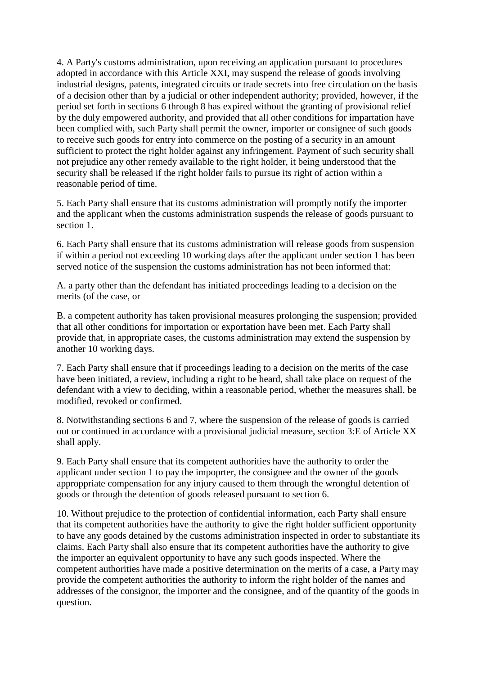4. A Party's customs administration, upon receiving an application pursuant to procedures adopted in accordance with this Article XXI, may suspend the release of goods involving industrial designs, patents, integrated circuits or trade secrets into free circulation on the basis of a decision other than by a judicial or other independent authority; provided, however, if the period set forth in sections 6 through 8 has expired without the granting of provisional relief by the duly empowered authority, and provided that all other conditions for impartation have been complied with, such Party shall permit the owner, importer or consignee of such goods to receive such goods for entry into commerce on the posting of a security in an amount sufficient to protect the right holder against any infringement. Payment of such security shall not prejudice any other remedy available to the right holder, it being understood that the security shall be released if the right holder fails to pursue its right of action within a reasonable period of time.

5. Each Party shall ensure that its customs administration will promptly notify the importer and the applicant when the customs administration suspends the release of goods pursuant to section 1.

6. Each Party shall ensure that its customs administration will release goods from suspension if within a period not exceeding 10 working days after the applicant under section 1 has been served notice of the suspension the customs administration has not been informed that:

A. a party other than the defendant has initiated proceedings leading to a decision on the merits (of the case, or

B. a competent authority has taken provisional measures prolonging the suspension; provided that all other conditions for importation or exportation have been met. Each Party shall provide that, in appropriate cases, the customs administration may extend the suspension by another 10 working days.

7. Each Party shall ensure that if proceedings leading to a decision on the merits of the case have been initiated, a review, including a right to be heard, shall take place on request of the defendant with a view to deciding, within a reasonable period, whether the measures shall. be modified, revoked or confirmed.

8. Notwithstanding sections 6 and 7, where the suspension of the release of goods is carried out or continued in accordance with a provisional judicial measure, section 3:E of Article XX shall apply.

9. Each Party shall ensure that its competent authorities have the authority to order the applicant under section 1 to pay the impoprter, the consignee and the owner of the goods approppriate compensation for any injury caused to them through the wrongful detention of goods or through the detention of goods released pursuant to section 6.

10. Without prejudice to the protection of confidential information, each Party shall ensure that its competent authorities have the authority to give the right holder sufficient opportunity to have any goods detained by the customs administration inspected in order to substantiate its claims. Each Party shall also ensure that its competent authorities have the authority to give the importer an equivalent opportunity to have any such goods inspected. Where the competent authorities have made a positive determination on the merits of a case, a Party may provide the competent authorities the authority to inform the right holder of the names and addresses of the consignor, the importer and the consignee, and of the quantity of the goods in question.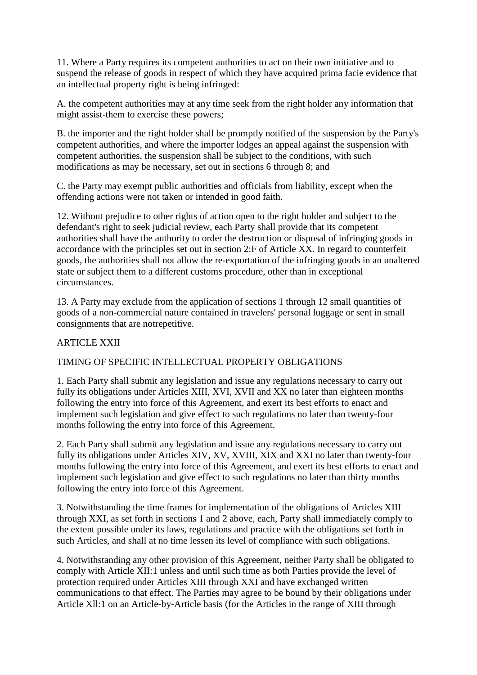11. Where a Party requires its competent authorities to act on their own initiative and to suspend the release of goods in respect of which they have acquired prima facie evidence that an intellectual property right is being infringed:

A. the competent authorities may at any time seek from the right holder any information that might assist-them to exercise these powers;

B. the importer and the right holder shall be promptly notified of the suspension by the Party's competent authorities, and where the importer lodges an appeal against the suspension with competent authorities, the suspension shall be subject to the conditions, with such modifications as may be necessary, set out in sections 6 through 8; and

C. the Party may exempt public authorities and officials from liability, except when the offending actions were not taken or intended in good faith.

12. Without prejudice to other rights of action open to the right holder and subject to the defendant's right to seek judicial review, each Party shall provide that its competent authorities shall have the authority to order the destruction or disposal of infringing goods in accordance with the principles set out in section 2:F of Article XX. In regard to counterfeit goods, the authorities shall not allow the re-exportation of the infringing goods in an unaltered state or subject them to a different customs procedure, other than in exceptional circumstances.

13. A Party may exclude from the application of sections 1 through 12 small quantities of goods of a non-commercial nature contained in travelers' personal luggage or sent in small consignments that are notrepetitive.

# ARTICLE XXII

# TIMING OF SPECIFIC INTELLECTUAL PROPERTY OBLIGATIONS

1. Each Party shall submit any legislation and issue any regulations necessary to carry out fully its obligations under Articles XIII, XVI, XVII and XX no later than eighteen months following the entry into force of this Agreement, and exert its best efforts to enact and implement such legislation and give effect to such regulations no later than twenty-four months following the entry into force of this Agreement.

2. Each Party shall submit any legislation and issue any regulations necessary to carry out fully its obligations under Articles XIV, XV, XVIII, XIX and XXI no later than twenty-four months following the entry into force of this Agreement, and exert its best efforts to enact and implement such legislation and give effect to such regulations no later than thirty months following the entry into force of this Agreement.

3. Notwithstanding the time frames for implementation of the obligations of Articles XIII through XXI, as set forth in sections 1 and 2 above, each, Party shall immediately comply to the extent possible under its laws, regulations and practice with the obligations set forth in such Articles, and shall at no time lessen its level of compliance with such obligations.

4. Notwithstanding any other provision of this Agreement, neither Party shall be obligated to comply with Article XII:1 unless and until such time as both Parties provide the level of protection required under Articles XIII through XXI and have exchanged written communications to that effect. The Parties may agree to be bound by their obligations under Article Xll:1 on an Article-by-Article basis (for the Articles in the range of XIII through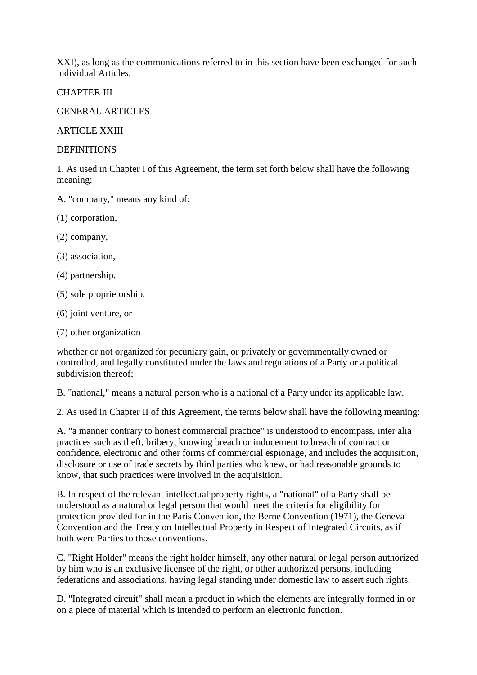XXI), as long as the communications referred to in this section have been exchanged for such individual Articles.

CHAPTER III

GENERAL ARTICLES

ARTICLE XXIII

**DEFINITIONS** 

1. As used in Chapter I of this Agreement, the term set forth below shall have the following meaning:

A. "company," means any kind of:

(1) corporation,

(2) company,

(3) association,

(4) partnership,

(5) sole proprietorship,

(6) joint venture, or

(7) other organization

whether or not organized for pecuniary gain, or privately or governmentally owned or controlled, and legally constituted under the laws and regulations of a Party or a political subdivision thereof;

B. "national," means a natural person who is a national of a Party under its applicable law.

2. As used in Chapter II of this Agreement, the terms below shall have the following meaning:

A. "a manner contrary to honest commercial practice" is understood to encompass, inter alia practices such as theft, bribery, knowing breach or inducement to breach of contract or confidence, electronic and other forms of commercial espionage, and includes the acquisition, disclosure or use of trade secrets by third parties who knew, or had reasonable grounds to know, that such practices were involved in the acquisition.

B. In respect of the relevant intellectual property rights, a "national" of a Party shall be understood as a natural or legal person that would meet the criteria for eligibility for protection provided for in the Paris Convention, the Berne Convention (1971), the Geneva Convention and the Treaty on Intellectual Property in Respect of Integrated Circuits, as if both were Parties to those conventions.

C. "Right Holder" means the right holder himself, any other natural or legal person authorized by him who is an exclusive licensee of the right, or other authorized persons, including federations and associations, having legal standing under domestic law to assert such rights.

D. "Integrated circuit" shall mean a product in which the elements are integrally formed in or on a piece of material which is intended to perform an electronic function.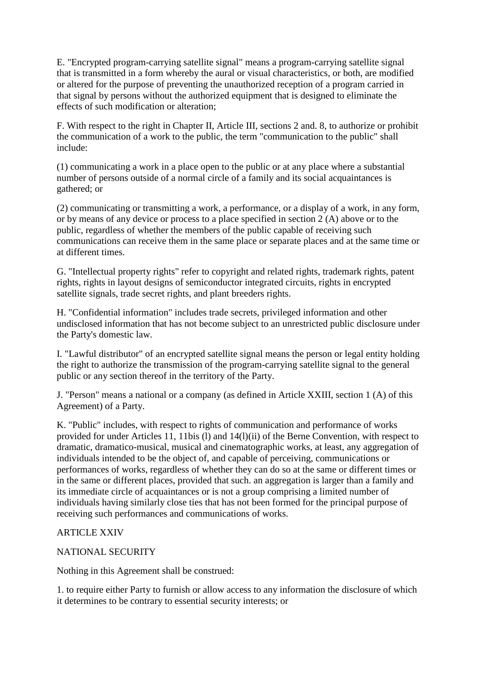E. "Encrypted program-carrying satellite signal" means a program-carrying satellite signal that is transmitted in a form whereby the aural or visual characteristics, or both, are modified or altered for the purpose of preventing the unauthorized reception of a program carried in that signal by persons without the authorized equipment that is designed to eliminate the effects of such modification or alteration;

F. With respect to the right in Chapter II, Article III, sections 2 and. 8, to authorize or prohibit the communication of a work to the public, the term "communication to the public" shall include:

(1) communicating a work in a place open to the public or at any place where a substantial number of persons outside of a normal circle of a family and its social acquaintances is gathered; or

(2) communicating or transmitting a work, a performance, or a display of a work, in any form, or by means of any device or process to a place specified in section 2 (A) above or to the public, regardless of whether the members of the public capable of receiving such communications can receive them in the same place or separate places and at the same time or at different times.

G. "Intellectual property rights" refer to copyright and related rights, trademark rights, patent rights, rights in layout designs of semiconductor integrated circuits, rights in encrypted satellite signals, trade secret rights, and plant breeders rights.

H. "Confidential information" includes trade secrets, privileged information and other undisclosed information that has not become subject to an unrestricted public disclosure under the Party's domestic law.

I. "Lawful distributor" of an encrypted satellite signal means the person or legal entity holding the right to authorize the transmission of the program-carrying satellite signal to the general public or any section thereof in the territory of the Party.

J. "Person" means a national or a company (as defined in Article XXIII, section 1 (A) of this Agreement) of a Party.

K. "Public" includes, with respect to rights of communication and performance of works provided for under Articles 11, 11bis (l) and 14(l)(ii) of the Berne Convention, with respect to dramatic, dramatico-musical, musical and cinematographic works, at least, any aggregation of individuals intended to be the object of, and capable of perceiving, communications or performances of works, regardless of whether they can do so at the same or different times or in the same or different places, provided that such. an aggregation is larger than a family and its immediate circle of acquaintances or is not a group comprising a limited number of individuals having similarly close ties that has not been formed for the principal purpose of receiving such performances and communications of works.

### **ARTICLE XXIV**

### NATIONAL SECURITY

Nothing in this Agreement shall be construed:

1. to require either Party to furnish or allow access to any information the disclosure of which it determines to be contrary to essential security interests; or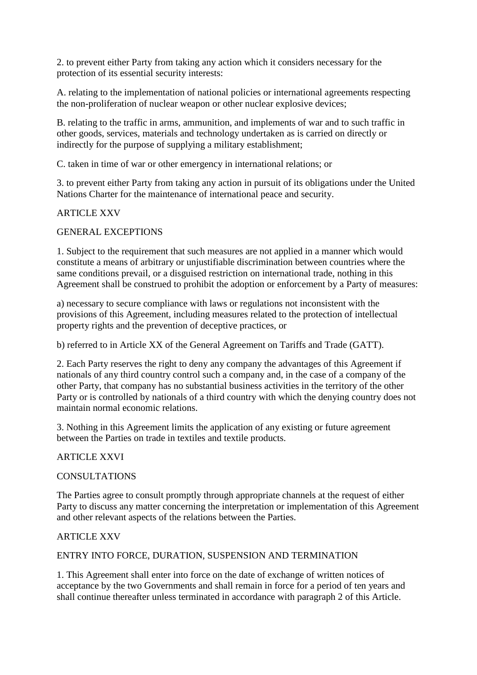2. to prevent either Party from taking any action which it considers necessary for the protection of its essential security interests:

A. relating to the implementation of national policies or international agreements respecting the non-proliferation of nuclear weapon or other nuclear explosive devices;

B. relating to the traffic in arms, ammunition, and implements of war and to such traffic in other goods, services, materials and technology undertaken as is carried on directly or indirectly for the purpose of supplying a military establishment;

C. taken in time of war or other emergency in international relations; or

3. to prevent either Party from taking any action in pursuit of its obligations under the United Nations Charter for the maintenance of international peace and security.

### ARTICLE XXV

#### GENERAL EXCEPTIONS

1. Subject to the requirement that such measures are not applied in a manner which would constitute a means of arbitrary or unjustifiable discrimination between countries where the same conditions prevail, or a disguised restriction on international trade, nothing in this Agreement shall be construed to prohibit the adoption or enforcement by a Party of measures:

a) necessary to secure compliance with laws or regulations not inconsistent with the provisions of this Agreement, including measures related to the protection of intellectual property rights and the prevention of deceptive practices, or

b) referred to in Article XX of the General Agreement on Tariffs and Trade (GATT).

2. Each Party reserves the right to deny any company the advantages of this Agreement if nationals of any third country control such a company and, in the case of a company of the other Party, that company has no substantial business activities in the territory of the other Party or is controlled by nationals of a third country with which the denying country does not maintain normal economic relations.

3. Nothing in this Agreement limits the application of any existing or future agreement between the Parties on trade in textiles and textile products.

### ARTICLE XXVI

#### **CONSULTATIONS**

The Parties agree to consult promptly through appropriate channels at the request of either Party to discuss any matter concerning the interpretation or implementation of this Agreement and other relevant aspects of the relations between the Parties.

#### ARTICLE XXV

#### ENTRY INTO FORCE, DURATION, SUSPENSION AND TERMINATION

1. This Agreement shall enter into force on the date of exchange of written notices of acceptance by the two Governments and shall remain in force for a period of ten years and shall continue thereafter unless terminated in accordance with paragraph 2 of this Article.